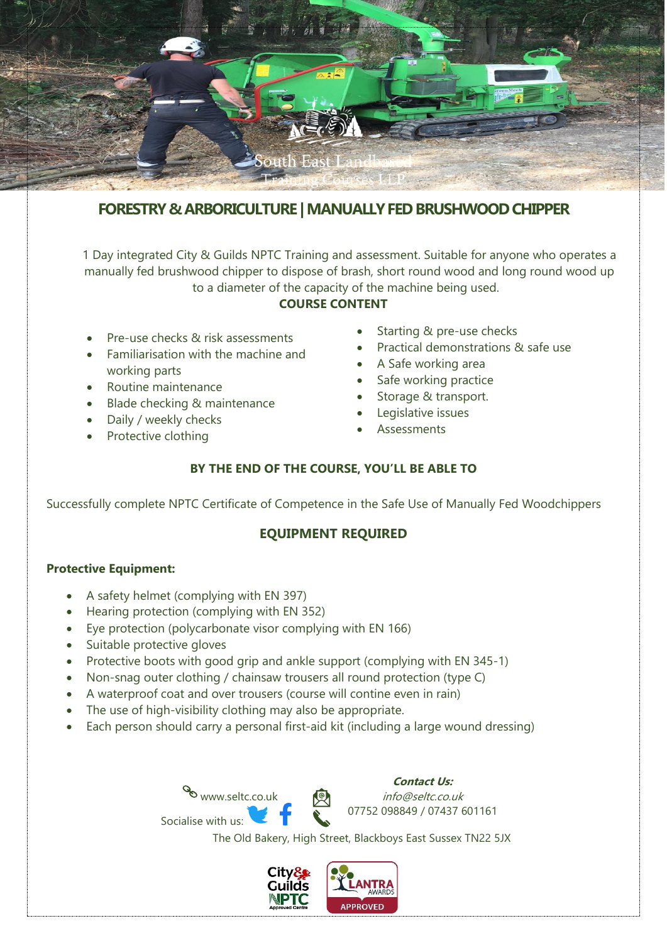

# **FORESTRY & ARBORICULTURE | MANUALLY FED BRUSHWOODCHIPPER**

1 Day integrated City & Guilds NPTC Training and assessment. Suitable for anyone who operates a manually fed brushwood chipper to dispose of brash, short round wood and long round wood up to a diameter of the capacity of the machine being used.

### **COURSE CONTENT**

- Pre-use checks & risk assessments
- Familiarisation with the machine and working parts
- Routine maintenance
- Blade checking & maintenance
- Daily / weekly checks
- Protective clothing
- Starting & pre-use checks
- Practical demonstrations & safe use
- A Safe working area
- Safe working practice
- Storage & transport.
- Legislative issues
- **Assessments**

## **BY THE END OF THE COURSE, YOU'LL BE ABLE TO**

Successfully complete NPTC Certificate of Competence in the Safe Use of Manually Fed Woodchippers

## **EQUIPMENT REQUIRED**

#### **Protective Equipment:**

- A safety helmet (complying with EN 397)
- Hearing protection (complying with EN 352)

Socialise with us:

- Eye protection (polycarbonate visor complying with EN 166)
- Suitable protective gloves
- Protective boots with good grip and ankle support (complying with EN 345-1)
- Non-snag outer clothing / chainsaw trousers all round protection (type C)
- A waterproof coat and over trousers (course will contine even in rain)
- The use of high-visibility clothing may also be appropriate.
- Each person should carry a personal first-aid kit (including a large wound dressing)

www.seltc.co.uk **Contact Us:** info@seltc.co.uk 07752 098849 / 07437 601161

The Old Bakery, High Street, Blackboys East Sussex TN22 5JX